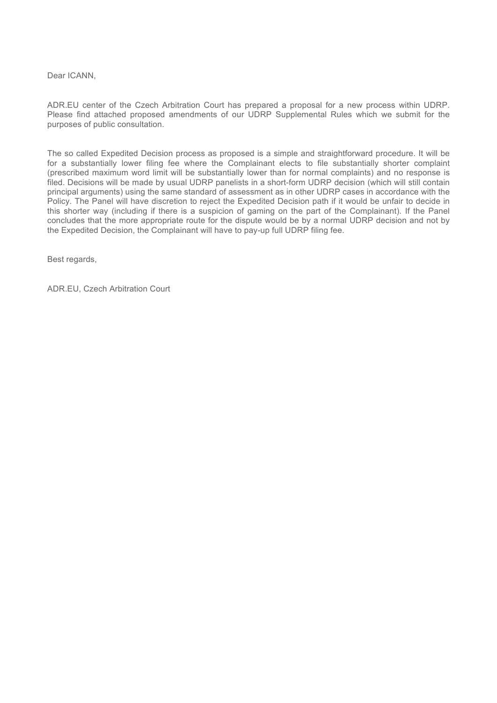Dear ICANN.

ADR.EU center of the Czech Arbitration Court has prepared a proposal for a new process within UDRP. Please find attached proposed amendments of our UDRP Supplemental Rules which we submit for the purposes of public consultation.

The so called Expedited Decision process as proposed is a simple and straightforward procedure. It will be for a substantially lower filing fee where the Complainant elects to file substantially shorter complaint (prescribed maximum word limit will be substantially lower than for normal complaints) and no response is filed. Decisions will be made by usual UDRP panelists in a short-form UDRP decision (which will still contain principal arguments) using the same standard of assessment as in other UDRP cases in accordance with the Policy. The Panel will have discretion to reject the Expedited Decision path if it would be unfair to decide in this shorter way (including if there is a suspicion of gaming on the part of the Complainant). If the Panel concludes that the more appropriate route for the dispute would be by a normal UDRP decision and not by the Expedited Decision, the Complainant will have to pay-up full UDRP filing fee.

Best regards,

ADR.EU, Czech Arbitration Court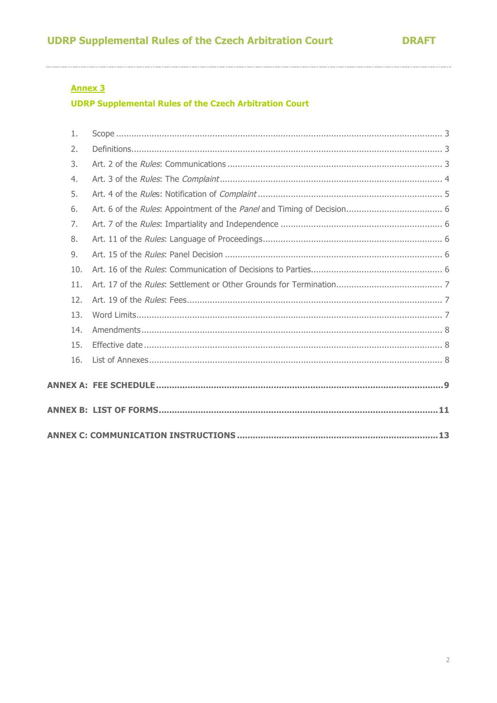# **Annex 3**

**UDRP Supplemental Rules of the Czech Arbitration Court** 

| 1.  |  |
|-----|--|
| 2.  |  |
| 3.  |  |
| 4.  |  |
| 5.  |  |
| 6.  |  |
| 7.  |  |
| 8.  |  |
| 9.  |  |
| 10. |  |
| 11. |  |
| 12. |  |
| 13. |  |
| 14. |  |
| 15. |  |
| 16. |  |
|     |  |
|     |  |
|     |  |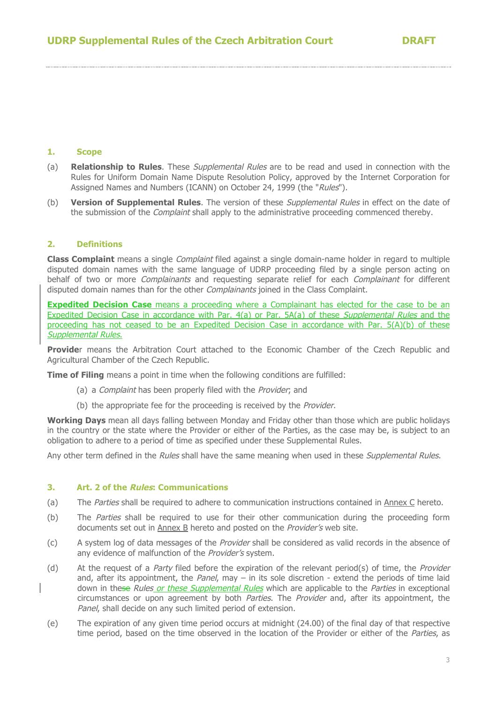### **1. Scope**

- (a) **Relationship to Rules**. These Supplemental Rules are to be read and used in connection with the Rules for Uniform Domain Name Dispute Resolution Policy, approved by the Internet Corporation for Assigned Names and Numbers (ICANN) on October 24, 1999 (the "Rules").
- (b) **Version of Supplemental Rules**. The version of these Supplemental Rules in effect on the date of the submission of the *Complaint* shall apply to the administrative proceeding commenced thereby.

## **2. Definitions**

**Class Complaint** means a single Complaint filed against a single domain-name holder in regard to multiple disputed domain names with the same language of UDRP proceeding filed by a single person acting on behalf of two or more *Complainants* and requesting separate relief for each *Complainant* for different disputed domain names than for the other *Complainants* joined in the Class Complaint.

**Expedited Decision Case** means a proceeding where a Complainant has elected for the case to be an Expedited Decision Case in accordance with Par. 4(a) or Par. 5A(a) of these Supplemental Rules and the proceeding has not ceased to be an Expedited Decision Case in accordance with Par. 5(A)(b) of these Supplemental Rules.

**Provide**r means the Arbitration Court attached to the Economic Chamber of the Czech Republic and Agricultural Chamber of the Czech Republic.

**Time of Filing** means a point in time when the following conditions are fulfilled:

- (a) a Complaint has been properly filed with the Provider; and
- (b) the appropriate fee for the proceeding is received by the Provider.

**Working Days** mean all days falling between Monday and Friday other than those which are public holidays in the country or the state where the Provider or either of the Parties, as the case may be, is subject to an obligation to adhere to a period of time as specified under these Supplemental Rules.

Any other term defined in the Rules shall have the same meaning when used in these Supplemental Rules.

#### **3. Art. 2 of the Rules: Communications**

- (a) The Parties shall be required to adhere to communication instructions contained in Annex C hereto.
- (b) The Parties shall be required to use for their other communication during the proceeding form documents set out in Annex B hereto and posted on the Provider's web site.
- (c) A system log of data messages of the Provider shall be considered as valid records in the absence of any evidence of malfunction of the *Provider's* system.
- (d) At the request of a *Party* filed before the expiration of the relevant period(s) of time, the *Provider* and, after its appointment, the Panel, may – in its sole discretion - extend the periods of time laid down in these *Rules or these Supplemental Rules* which are applicable to the *Parties* in exceptional circumstances or upon agreement by both *Parties*. The *Provider* and, after its appointment, the Panel, shall decide on any such limited period of extension.
- (e) The expiration of any given time period occurs at midnight (24.00) of the final day of that respective time period, based on the time observed in the location of the Provider or either of the Parties, as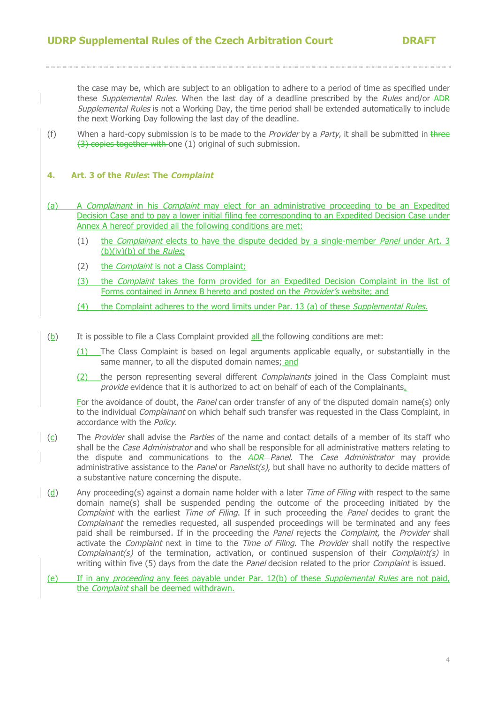the case may be, which are subject to an obligation to adhere to a period of time as specified under these *Supplemental Rules*. When the last day of a deadline prescribed by the *Rules* and/or ADR Supplemental Rules is not a Working Day, the time period shall be extended automatically to include the next Working Day following the last day of the deadline.

(f) When a hard-copy submission is to be made to the *Provider* by a *Party*, it shall be submitted in three (3) copies together with one (1) original of such submission.

## **4. Art. 3 of the Rules: The Complaint**

- (a) A Complainant in his Complaint may elect for an administrative proceeding to be an Expedited Decision Case and to pay a lower initial filing fee corresponding to an Expedited Decision Case under Annex A hereof provided all the following conditions are met:
	- (1) the *Complainant* elects to have the dispute decided by a single-member *Panel* under Art. 3  $(b)(iv)(b)$  of the *Rules*;
	- (2) the Complaint is not a Class Complaint;
	- (3) the *Complaint* takes the form provided for an Expedited Decision Complaint in the list of Forms contained in Annex B hereto and posted on the Provider's website; and
	- (4) the Complaint adheres to the word limits under Par. 13 (a) of these Supplemental Rules.
- (b) It is possible to file a Class Complaint provided all the following conditions are met:
	- (1) The Class Complaint is based on legal arguments applicable equally, or substantially in the same manner, to all the disputed domain names; and
	- (2) the person representing several different *Complainants* joined in the Class Complaint must provide evidence that it is authorized to act on behalf of each of the Complainants.

For the avoidance of doubt, the Panel can order transfer of any of the disputed domain name(s) only to the individual *Complainant* on which behalf such transfer was requested in the Class Complaint, in accordance with the Policy.

- $(c)$  The *Provider* shall advise the *Parties* of the name and contact details of a member of its staff who shall be the Case Administrator and who shall be responsible for all administrative matters relating to the dispute and communications to the ADR-Panel. The Case Administrator may provide administrative assistance to the Panel or Panelist(s), but shall have no authority to decide matters of a substantive nature concerning the dispute.
- $\frac{d}{d}$  Any proceeding(s) against a domain name holder with a later *Time of Filing* with respect to the same domain name(s) shall be suspended pending the outcome of the proceeding initiated by the Complaint with the earliest Time of Filing. If in such proceeding the Panel decides to grant the Complainant the remedies requested, all suspended proceedings will be terminated and any fees paid shall be reimbursed. If in the proceeding the Panel rejects the Complaint, the Provider shall activate the *Complaint* next in time to the *Time of Filing*. The *Provider* shall notify the respective Complainant(s) of the termination, activation, or continued suspension of their Complaint(s) in writing within five (5) days from the date the Panel decision related to the prior Complaint is issued.
	- (e) If in any proceeding any fees payable under Par. 12(b) of these Supplemental Rules are not paid, the Complaint shall be deemed withdrawn.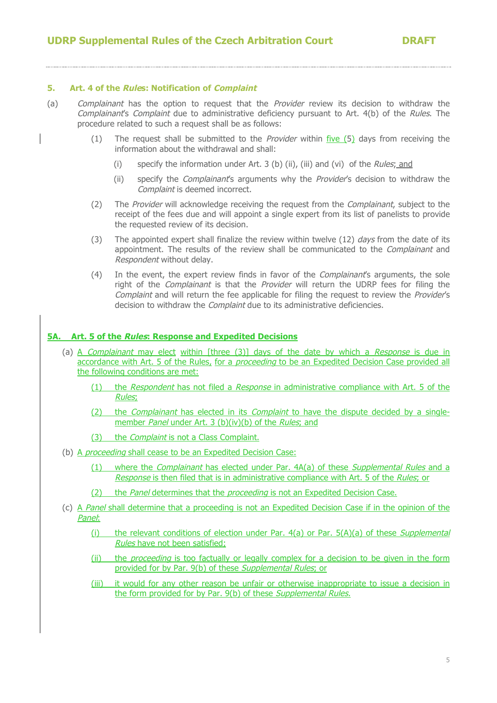## **5. Art. 4 of the Rules: Notification of Complaint**

- (a) Complainant has the option to request that the Provider review its decision to withdraw the Complainant's Complaint due to administrative deficiency pursuant to Art. 4(b) of the Rules. The procedure related to such a request shall be as follows:
	- (1) The request shall be submitted to the *Provider* within  $\frac{five}{f}$  days from receiving the information about the withdrawal and shall:
		- (i) specify the information under Art. 3 (b) (ii), (iii) and (vi) of the Rules; and
		- (ii) specify the *Complainant's* arguments why the *Provider's* decision to withdraw the Complaint is deemed incorrect.
	- (2) The Provider will acknowledge receiving the request from the *Complainant*, subject to the receipt of the fees due and will appoint a single expert from its list of panelists to provide the requested review of its decision.
	- (3) The appointed expert shall finalize the review within twelve  $(12)$  days from the date of its appointment. The results of the review shall be communicated to the *Complainant* and Respondent without delay.
	- (4) In the event, the expert review finds in favor of the *Complainant's* arguments, the sole right of the *Complainant* is that the *Provider* will return the UDRP fees for filing the Complaint and will return the fee applicable for filing the request to review the *Provider's* decision to withdraw the *Complaint* due to its administrative deficiencies.

## **5A. Art. 5 of the Rules: Response and Expedited Decisions**

- (a) A *Complainant* may elect within [three (3)] days of the date by which a *Response* is due in accordance with Art. 5 of the Rules, for a *proceeding* to be an Expedited Decision Case provided all the following conditions are met:
	- (1) the Respondent has not filed a Response in administrative compliance with Art. 5 of the Rules;
	- (2) the *Complainant* has elected in its *Complaint* to have the dispute decided by a singlemember *Panel* under Art. 3 (b)(iv)(b) of the *Rules*; and
	- (3) the *Complaint* is not a Class Complaint.
- (b) A *proceeding* shall cease to be an Expedited Decision Case:
	- (1) where the Complainant has elected under Par. 4A(a) of these Supplemental Rules and a Response is then filed that is in administrative compliance with Art. 5 of the Rules; or
	- (2) the Panel determines that the *proceeding* is not an Expedited Decision Case.
- (c) A Panel shall determine that a proceeding is not an Expedited Decision Case if in the opinion of the Panel:
	- (i) the relevant conditions of election under Par.  $4(a)$  or Par.  $5(A)(a)$  of these *Supplemental* Rules have not been satisfied;
	- (ii) the *proceeding* is too factually or legally complex for a decision to be given in the form provided for by Par. 9(b) of these Supplemental Rules; or
	- (iii) it would for any other reason be unfair or otherwise inappropriate to issue a decision in the form provided for by Par. 9(b) of these Supplemental Rules.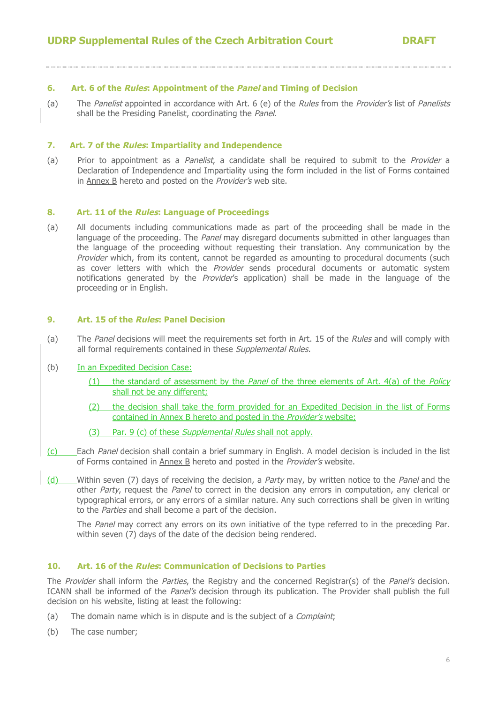## **6. Art. 6 of the Rules: Appointment of the Panel and Timing of Decision**

(a) The Panelist appointed in accordance with Art. 6 (e) of the Rules from the Provider's list of Panelists shall be the Presiding Panelist, coordinating the Panel.

### **7. Art. 7 of the Rules: Impartiality and Independence**

(a) Prior to appointment as a Panelist, a candidate shall be required to submit to the Provider a Declaration of Independence and Impartiality using the form included in the list of Forms contained in Annex B hereto and posted on the Provider's web site.

## **8. Art. 11 of the Rules: Language of Proceedings**

(a) All documents including communications made as part of the proceeding shall be made in the language of the proceeding. The Panel may disregard documents submitted in other languages than the language of the proceeding without requesting their translation. Any communication by the Provider which, from its content, cannot be regarded as amounting to procedural documents (such as cover letters with which the Provider sends procedural documents or automatic system notifications generated by the Provider's application) shall be made in the language of the proceeding or in English.

## **9. Art. 15 of the Rules: Panel Decision**

(a) The Panel decisions will meet the requirements set forth in Art. 15 of the Rules and will comply with all formal requirements contained in these Supplemental Rules.

#### (b) In an Expedited Decision Case:

- (1) the standard of assessment by the *Panel* of the three elements of Art.  $4(a)$  of the *Policy* shall not be any different;
- (2) the decision shall take the form provided for an Expedited Decision in the list of Forms contained in Annex B hereto and posted in the Provider's website;
- (3) Par. 9 (c) of these *Supplemental Rules* shall not apply.
- (c) Each Panel decision shall contain a brief summary in English. A model decision is included in the list of Forms contained in Annex B hereto and posted in the Provider's website.
- (d) Within seven (7) days of receiving the decision, a *Party* may, by written notice to the *Panel* and the other Party, request the Panel to correct in the decision any errors in computation, any clerical or typographical errors, or any errors of a similar nature. Any such corrections shall be given in writing to the Parties and shall become a part of the decision.

The *Panel* may correct any errors on its own initiative of the type referred to in the preceding Par. within seven (7) days of the date of the decision being rendered.

## **10. Art. 16 of the Rules: Communication of Decisions to Parties**

The Provider shall inform the Parties, the Registry and the concerned Registrar(s) of the Panel's decision. ICANN shall be informed of the *Panel's* decision through its publication. The Provider shall publish the full decision on his website, listing at least the following:

- (a) The domain name which is in dispute and is the subject of a *Complaint*;
- (b) The case number;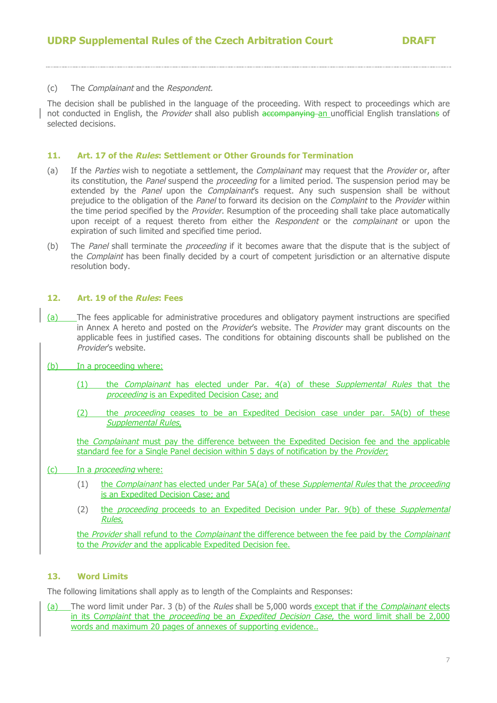## (c) The Complainant and the Respondent.

The decision shall be published in the language of the proceeding. With respect to proceedings which are not conducted in English, the *Provider* shall also publish accompanying an unofficial English translations of selected decisions.

### **11. Art. 17 of the Rules: Settlement or Other Grounds for Termination**

- (a) If the Parties wish to negotiate a settlement, the *Complainant* may request that the *Provider* or, after its constitution, the Panel suspend the *proceeding* for a limited period. The suspension period may be extended by the Panel upon the Complainant's request. Any such suspension shall be without prejudice to the obligation of the Panel to forward its decision on the Complaint to the Provider within the time period specified by the *Provider*. Resumption of the proceeding shall take place automatically upon receipt of a request thereto from either the Respondent or the complainant or upon the expiration of such limited and specified time period.
- (b) The Panel shall terminate the *proceeding* if it becomes aware that the dispute that is the subject of the *Complaint* has been finally decided by a court of competent jurisdiction or an alternative dispute resolution body.

## **12. Art. 19 of the Rules: Fees**

(a) The fees applicable for administrative procedures and obligatory payment instructions are specified in Annex A hereto and posted on the *Provider's* website. The *Provider* may grant discounts on the applicable fees in justified cases. The conditions for obtaining discounts shall be published on the Provider's website.

## (b) In a proceeding where:

- (1) the Complainant has elected under Par. 4(a) of these Supplemental Rules that the proceeding is an Expedited Decision Case; and
- (2) the *proceeding* ceases to be an Expedited Decision case under par. 5A(b) of these Supplemental Rules,

the *Complainant* must pay the difference between the Expedited Decision fee and the applicable standard fee for a Single Panel decision within 5 days of notification by the Provider;

## (c) In a proceeding where:

- (1) the Complainant has elected under Par 5A(a) of these Supplemental Rules that the proceeding is an Expedited Decision Case; and
- (2) the *proceeding* proceeds to an Expedited Decision under Par. 9(b) of these *Supplemental* Rules,

the Provider shall refund to the Complainant the difference between the fee paid by the Complainant to the Provider and the applicable Expedited Decision fee.

## **13. Word Limits**

The following limitations shall apply as to length of the Complaints and Responses:

(a) The word limit under Par. 3 (b) of the Rules shall be 5,000 words except that if the Complainant elects in its Complaint that the proceeding be an Expedited Decision Case, the word limit shall be 2,000 words and maximum 20 pages of annexes of supporting evidence..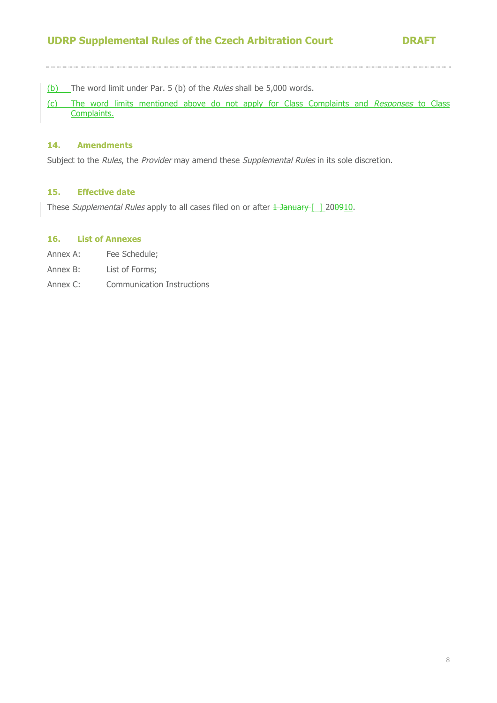(b) The word limit under Par. 5 (b) of the Rules shall be 5,000 words.

(c) The word limits mentioned above do not apply for Class Complaints and Responses to Class Complaints.

## **14. Amendments**

Subject to the Rules, the Provider may amend these Supplemental Rules in its sole discretion.

## **15. Effective date**

These Supplemental Rules apply to all cases filed on or after 1 January [ 1200910.

## **16. List of Annexes**

- Annex A: Fee Schedule;
- Annex B: List of Forms;
- Annex C: Communication Instructions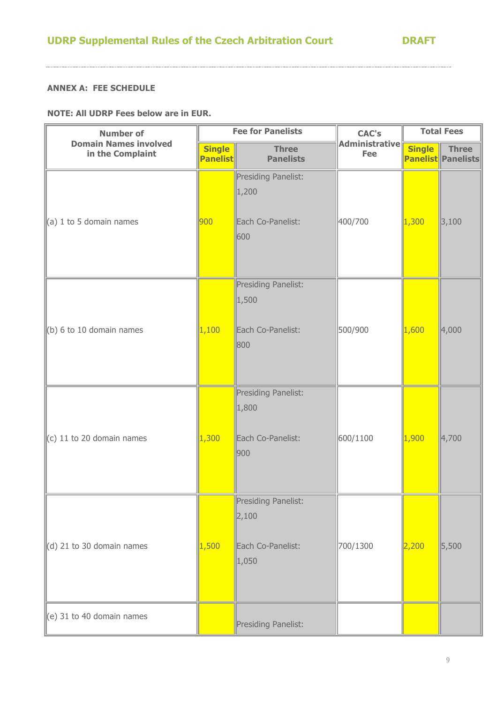## **ANNEX A: FEE SCHEDULE**

.<br>. . . . . .

**NOTE: All UDRP Fees below are in EUR.**

| <b>Number of</b>                                 | <b>Fee for Panelists</b>         |                                                            | <b>CAC's</b>                 | <b>Total Fees</b> |                                           |
|--------------------------------------------------|----------------------------------|------------------------------------------------------------|------------------------------|-------------------|-------------------------------------------|
| <b>Domain Names involved</b><br>in the Complaint | <b>Single</b><br><b>Panelist</b> | <b>Three</b><br><b>Panelists</b>                           | <b>Administrative</b><br>Fee | <b>Single</b>     | <b>Three</b><br><b>Panelist Panelists</b> |
| $\parallel$ (a) 1 to 5 domain names              | 900                              | Presiding Panelist:<br>1,200<br>Each Co-Panelist:<br>600   | 400/700                      | 1,300             | 3,100                                     |
| $\left\vert$ (b) 6 to 10 domain names            | 1,100                            | Presiding Panelist:<br>1,500<br>Each Co-Panelist:<br>800   | 500/900                      | 1,600             | 4,000                                     |
| $\vert$ (c) 11 to 20 domain names                | 1,300                            | Presiding Panelist:<br>1,800<br>Each Co-Panelist:<br>900   | 600/1100                     | 1,900             | 4,700                                     |
| $\parallel$ (d) 21 to 30 domain names            | 1,500                            | Presiding Panelist:<br>2,100<br>Each Co-Panelist:<br>1,050 | 700/1300                     | 2,200             | 5,500                                     |
| $\parallel$ (e) 31 to 40 domain names            |                                  | Presiding Panelist:                                        |                              |                   |                                           |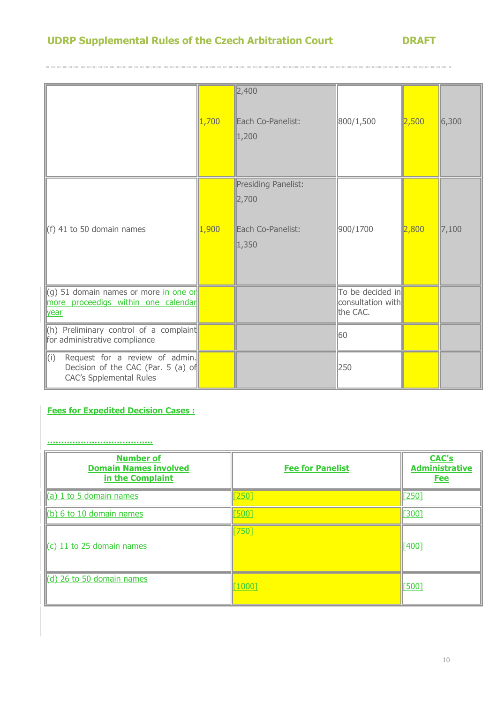# **UDRP Supplemental Rules of the Czech Arbitration Court DRAFT**

|                                                                                                               | 1,700 | 2,400 <br>Each Co-Panelist:<br>1,200                       | 800/1,500                                         | 2,500 | 6,300 |
|---------------------------------------------------------------------------------------------------------------|-------|------------------------------------------------------------|---------------------------------------------------|-------|-------|
| (f) 41 to 50 domain names                                                                                     | 1,900 | Presiding Panelist:<br>2,700<br>Each Co-Panelist:<br>1,350 | 900/1700                                          | 2,800 | 7,100 |
| (g) 51 domain names or more in one or<br>more proceedigs within one calendar<br>year                          |       |                                                            | To be decided in<br>consultation with<br>the CAC. |       |       |
| $(h)$ Preliminary control of a complaint<br>for administrative compliance                                     |       |                                                            | 60                                                |       |       |
| (i)<br>Request for a review of admin.<br>Decision of the CAC (Par. 5 (a) of<br><b>CAC's Spplemental Rules</b> |       |                                                            | 250                                               |       |       |

# **Fees for Expedited Decision Cases :**

#### **………………………………..**

| <b>Number of</b><br><b>Domain Names involved</b><br>in the Complaint | <b>Fee for Panelist</b> | <b>CAC's</b><br><b>Administrative</b><br><b>Fee</b> |
|----------------------------------------------------------------------|-------------------------|-----------------------------------------------------|
| $\left\ $ (a) 1 to 5 domain names                                    | 2501                    | [250]                                               |
| $(6)$ 6 to 10 domain names                                           | 500]                    | [300]                                               |
| $\ $ (c) 11 to 25 domain names                                       | $750$ ]                 | [400]                                               |
| (d) 26 to 50 domain names                                            | [1000]                  | [500]                                               |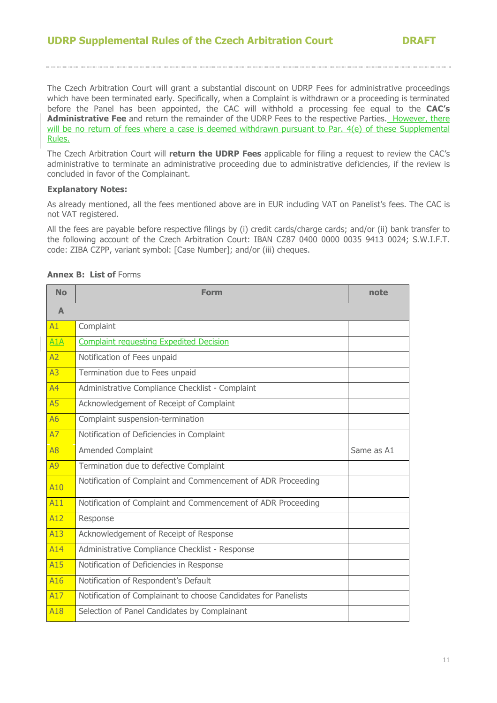The Czech Arbitration Court will grant a substantial discount on UDRP Fees for administrative proceedings which have been terminated early. Specifically, when a Complaint is withdrawn or a proceeding is terminated before the Panel has been appointed, the CAC will withhold a processing fee equal to the **CAC's**  Administrative Fee and return the remainder of the UDRP Fees to the respective Parties. However, there will be no return of fees where a case is deemed withdrawn pursuant to Par. 4(e) of these Supplemental Rules.

The Czech Arbitration Court will **return the UDRP Fees** applicable for filing a request to review the CAC's administrative to terminate an administrative proceeding due to administrative deficiencies, if the review is concluded in favor of the Complainant.

## **Explanatory Notes:**

As already mentioned, all the fees mentioned above are in EUR including VAT on Panelist's fees. The CAC is not VAT registered.

All the fees are payable before respective filings by (i) credit cards/charge cards; and/or (ii) bank transfer to the following account of the Czech Arbitration Court: IBAN CZ87 0400 0000 0035 9413 0024; S.W.I.F.T. code: ZIBA CZPP, variant symbol: [Case Number]; and/or (iii) cheques.

| <b>No</b>        | <b>Form</b>                                                    | note       |
|------------------|----------------------------------------------------------------|------------|
| $\blacktriangle$ |                                                                |            |
| A1               | Complaint                                                      |            |
| A1A              | <b>Complaint requesting Expedited Decision</b>                 |            |
| A2               | Notification of Fees unpaid                                    |            |
| A <sub>3</sub>   | Termination due to Fees unpaid                                 |            |
| A <sup>4</sup>   | Administrative Compliance Checklist - Complaint                |            |
| A5               | Acknowledgement of Receipt of Complaint                        |            |
| <b>A6</b>        | Complaint suspension-termination                               |            |
| A7               | Notification of Deficiencies in Complaint                      |            |
| A <sub>8</sub>   | <b>Amended Complaint</b>                                       | Same as A1 |
| A9               | Termination due to defective Complaint                         |            |
| A10              | Notification of Complaint and Commencement of ADR Proceeding   |            |
| A11              | Notification of Complaint and Commencement of ADR Proceeding   |            |
| A12              | Response                                                       |            |
| A13              | Acknowledgement of Receipt of Response                         |            |
| A14              | Administrative Compliance Checklist - Response                 |            |
| A15              | Notification of Deficiencies in Response                       |            |
| A <sub>16</sub>  | Notification of Respondent's Default                           |            |
| A17              | Notification of Complainant to choose Candidates for Panelists |            |
| A18              | Selection of Panel Candidates by Complainant                   |            |

## **Annex B: List of Forms**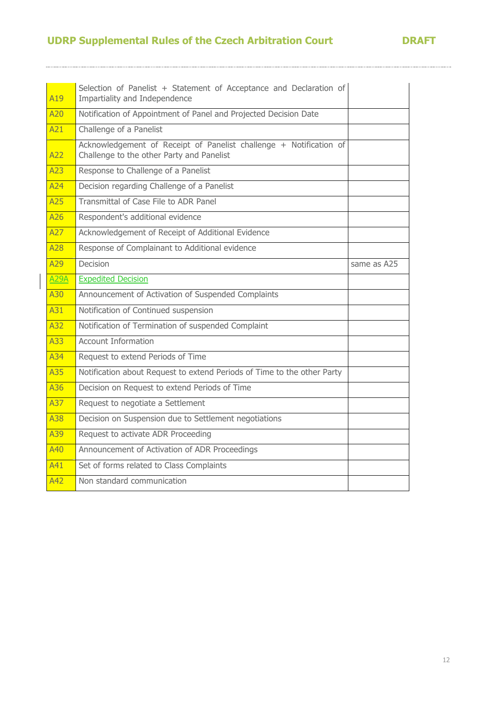# **UDRP Supplemental Rules of the Czech Arbitration Court DRAFT**

| A19         | Selection of Panelist + Statement of Acceptance and Declaration of<br>Impartiality and Independence             |             |
|-------------|-----------------------------------------------------------------------------------------------------------------|-------------|
| A20         | Notification of Appointment of Panel and Projected Decision Date                                                |             |
| A21         | Challenge of a Panelist                                                                                         |             |
| A22         | Acknowledgement of Receipt of Panelist challenge + Notification of<br>Challenge to the other Party and Panelist |             |
| A23         | Response to Challenge of a Panelist                                                                             |             |
| A24         | Decision regarding Challenge of a Panelist                                                                      |             |
| A25         | Transmittal of Case File to ADR Panel                                                                           |             |
| A26         | Respondent's additional evidence                                                                                |             |
| A27         | Acknowledgement of Receipt of Additional Evidence                                                               |             |
| A28         | Response of Complainant to Additional evidence                                                                  |             |
| A29         | <b>Decision</b>                                                                                                 | same as A25 |
| <b>A29A</b> | <b>Expedited Decision</b>                                                                                       |             |
| A30         | Announcement of Activation of Suspended Complaints                                                              |             |
| A31         | Notification of Continued suspension                                                                            |             |
| A32         | Notification of Termination of suspended Complaint                                                              |             |
| A33         | <b>Account Information</b>                                                                                      |             |
| A34         | Request to extend Periods of Time                                                                               |             |
| A35         | Notification about Request to extend Periods of Time to the other Party                                         |             |
| A36         | Decision on Request to extend Periods of Time                                                                   |             |
| A37         | Request to negotiate a Settlement                                                                               |             |
| A38         | Decision on Suspension due to Settlement negotiations                                                           |             |
| A39         | Request to activate ADR Proceeding                                                                              |             |
| A40         | Announcement of Activation of ADR Proceedings                                                                   |             |
| A41         | Set of forms related to Class Complaints                                                                        |             |
| A42         | Non standard communication                                                                                      |             |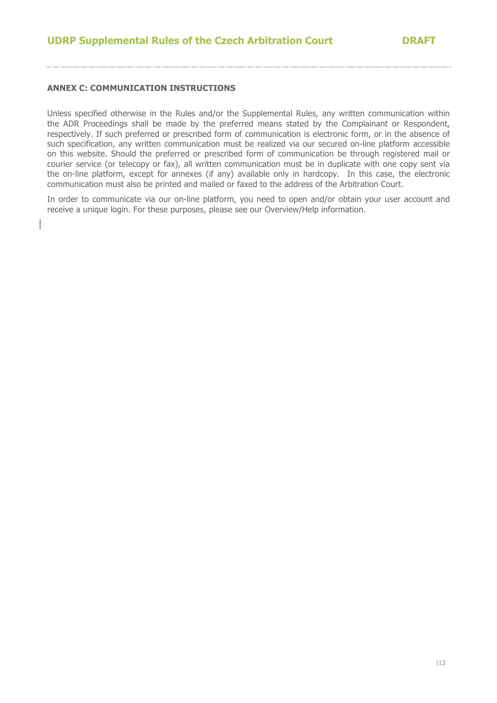## **ANNEX C: COMMUNICATION INSTRUCTIONS**

Unless specified otherwise in the Rules and/or the Supplemental Rules, any written communication within the ADR Proceedings shall be made by the preferred means stated by the Complainant or Respondent, respectively. If such preferred or prescribed form of communication is electronic form, or in the absence of such specification, any written communication must be realized via our secured on-line platform accessible on this website. Should the preferred or prescribed form of communication be through registered mail or courier service (or telecopy or fax), all written communication must be in duplicate with one copy sent via the on-line platform, except for annexes (if any) available only in hardcopy. In this case, the electronic communication must also be printed and mailed or faxed to the address of the Arbitration Court.

In order to communicate via our on-line platform, you need to open and/or obtain your user account and receive a unique login. For these purposes, please see our Overview/Help information.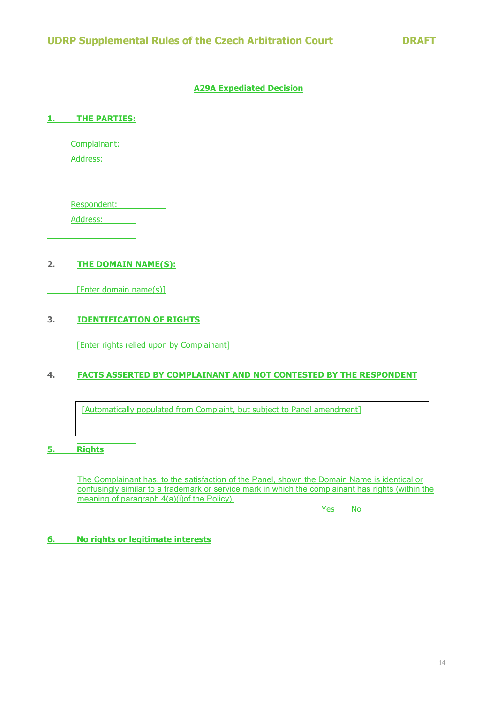|            | <b>A29A Expediated Decision</b>                                                                                                                                                                                                                    |
|------------|----------------------------------------------------------------------------------------------------------------------------------------------------------------------------------------------------------------------------------------------------|
|            | <b>THE PARTIES:</b>                                                                                                                                                                                                                                |
|            | Complainant:                                                                                                                                                                                                                                       |
|            | Address:                                                                                                                                                                                                                                           |
|            | Respondent:                                                                                                                                                                                                                                        |
|            | Address:                                                                                                                                                                                                                                           |
| 2.         | <b>THE DOMAIN NAME(S):</b>                                                                                                                                                                                                                         |
|            | [Enter domain name(s)]                                                                                                                                                                                                                             |
| 3.         | <b>IDENTIFICATION OF RIGHTS</b>                                                                                                                                                                                                                    |
|            | [Enter rights relied upon by Complainant]                                                                                                                                                                                                          |
| 4.         | <b>FACTS ASSERTED BY COMPLAINANT AND NOT CONTESTED BY THE RESPONDENT</b>                                                                                                                                                                           |
|            | [Automatically populated from Complaint, but subject to Panel amendment]                                                                                                                                                                           |
| э.         | <b>Rights</b>                                                                                                                                                                                                                                      |
|            | The Complainant has, to the satisfaction of the Panel, shown the Domain Name is identical or<br>confusingly similar to a trademark or service mark in which the complainant has rights (within the<br>meaning of paragraph 4(a)(i) of the Policy). |
|            | <b>Yes</b><br>No                                                                                                                                                                                                                                   |
| <u>6. </u> | No rights or legitimate interests                                                                                                                                                                                                                  |